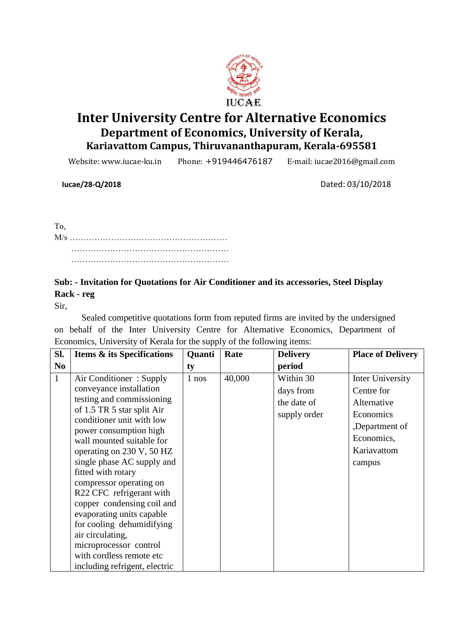

# **Inter University Centre for Alternative Economics Department of Economics, University of Kerala, Kariavattom Campus, Thiruvananthapuram, Kerala-695581**

Website: www.iucae-ku.in Phone: +919446476187 E-mail: iucae2016@gmail.com

 **Iucae/28-Q/2018** Dated: 03/10/2018

To, M/s ………………………………………………… ………………………………………………… …………………………………………………

## **Sub: - Invitation for Quotations for Air Conditioner and its accessories, Steel Display Rack - reg**

Sir,

Sealed competitive quotations form from reputed firms are invited by the undersigned on behalf of the Inter University Centre for Alternative Economics, Department of Economics, University of Kerala for the supply of the following items:

| SI.            | <b>Items &amp; its Specifications</b>               | Quanti | Rate   | <b>Delivery</b> | <b>Place of Delivery</b> |
|----------------|-----------------------------------------------------|--------|--------|-----------------|--------------------------|
| N <sub>0</sub> |                                                     | ty     |        | period          |                          |
| $\mathbf{1}$   | Air Conditioner: Supply                             | 1 nos  | 40,000 | Within 30       | Inter University         |
|                | conveyance installation                             |        |        | days from       | Centre for               |
|                | testing and commissioning                           |        |        | the date of     | Alternative              |
|                | of 1.5 TR 5 star split Air                          |        |        | supply order    | Economics                |
|                | conditioner unit with low                           |        |        |                 | ,Department of           |
|                | power consumption high<br>wall mounted suitable for |        |        |                 | Economics,               |
|                | operating on 230 V, 50 HZ                           |        |        |                 | Kariavattom              |
|                | single phase AC supply and                          |        |        |                 | campus                   |
|                | fitted with rotary                                  |        |        |                 |                          |
|                | compressor operating on                             |        |        |                 |                          |
|                | R <sub>22</sub> CFC refrigerant with                |        |        |                 |                          |
|                | copper condensing coil and                          |        |        |                 |                          |
|                | evaporating units capable                           |        |        |                 |                          |
|                | for cooling dehumidifying                           |        |        |                 |                          |
|                | air circulating,                                    |        |        |                 |                          |
|                | microprocessor control                              |        |        |                 |                          |
|                | with cordless remote etc                            |        |        |                 |                          |
|                | including refrigent, electric                       |        |        |                 |                          |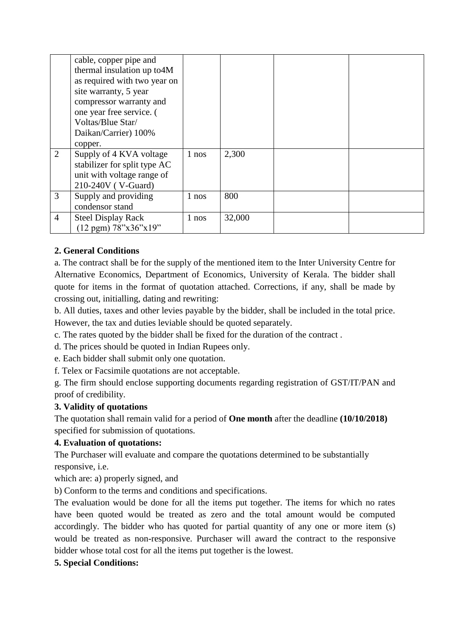|                | cable, copper pipe and<br>thermal insulation up to 4M<br>as required with two year on<br>site warranty, 5 year |       |        |  |
|----------------|----------------------------------------------------------------------------------------------------------------|-------|--------|--|
|                | compressor warranty and<br>one year free service. (                                                            |       |        |  |
|                | Voltas/Blue Star/                                                                                              |       |        |  |
|                | Daikan/Carrier) 100%                                                                                           |       |        |  |
|                | copper.                                                                                                        |       |        |  |
| 2              | Supply of 4 KVA voltage                                                                                        | 1 nos | 2,300  |  |
|                | stabilizer for split type AC                                                                                   |       |        |  |
|                | unit with voltage range of                                                                                     |       |        |  |
|                | 210-240V (V-Guard)                                                                                             |       |        |  |
| 3              | Supply and providing                                                                                           | 1 nos | 800    |  |
|                | condensor stand                                                                                                |       |        |  |
| $\overline{4}$ | <b>Steel Display Rack</b>                                                                                      | 1 nos | 32,000 |  |
|                | $(12 \text{ ppm})$ 78"x36"x19"                                                                                 |       |        |  |

## **2. General Conditions**

a. The contract shall be for the supply of the mentioned item to the Inter University Centre for Alternative Economics, Department of Economics, University of Kerala. The bidder shall quote for items in the format of quotation attached. Corrections, if any, shall be made by crossing out, initialling, dating and rewriting:

b. All duties, taxes and other levies payable by the bidder, shall be included in the total price. However, the tax and duties leviable should be quoted separately.

c. The rates quoted by the bidder shall be fixed for the duration of the contract .

d. The prices should be quoted in Indian Rupees only.

e. Each bidder shall submit only one quotation.

f. Telex or Facsimile quotations are not acceptable.

g. The firm should enclose supporting documents regarding registration of GST/IT/PAN and proof of credibility.

### **3. Validity of quotations**

The quotation shall remain valid for a period of **One month** after the deadline **(10/10/2018)**  specified for submission of quotations.

### **4. Evaluation of quotations:**

The Purchaser will evaluate and compare the quotations determined to be substantially responsive, i.e.

which are: a) properly signed, and

b) Conform to the terms and conditions and specifications.

The evaluation would be done for all the items put together. The items for which no rates have been quoted would be treated as zero and the total amount would be computed accordingly. The bidder who has quoted for partial quantity of any one or more item (s) would be treated as non-responsive. Purchaser will award the contract to the responsive bidder whose total cost for all the items put together is the lowest.

### **5. Special Conditions:**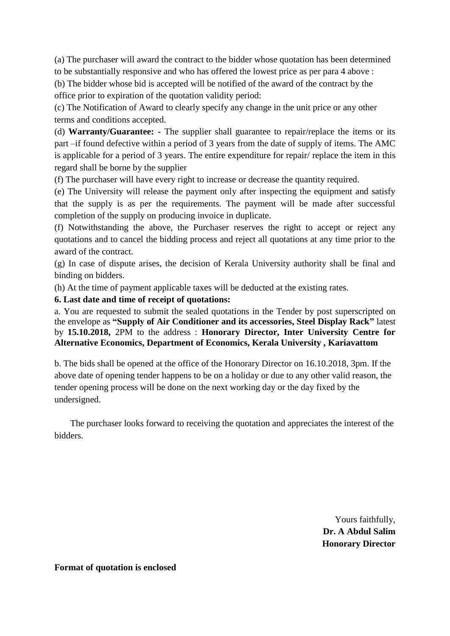(a) The purchaser will award the contract to the bidder whose quotation has been determined to be substantially responsive and who has offered the lowest price as per para 4 above :

(b) The bidder whose bid is accepted will be notified of the award of the contract by the office prior to expiration of the quotation validity period:

(c) The Notification of Award to clearly specify any change in the unit price or any other terms and conditions accepted.

(d) **Warranty/Guarantee: -** The supplier shall guarantee to repair/replace the items or its part –if found defective within a period of 3 years from the date of supply of items. The AMC is applicable for a period of 3 years. The entire expenditure for repair/ replace the item in this regard shall be borne by the supplier

(f) The purchaser will have every right to increase or decrease the quantity required.

(e) The University will release the payment only after inspecting the equipment and satisfy that the supply is as per the requirements. The payment will be made after successful completion of the supply on producing invoice in duplicate.

(f) Notwithstanding the above, the Purchaser reserves the right to accept or reject any quotations and to cancel the bidding process and reject all quotations at any time prior to the award of the contract.

(g) In case of dispute arises, the decision of Kerala University authority shall be final and binding on bidders.

(h) At the time of payment applicable taxes will be deducted at the existing rates.

#### **6. Last date and time of receipt of quotations:**

a. You are requested to submit the sealed quotations in the Tender by post superscripted on the envelope as **"Supply of Air Conditioner and its accessories, Steel Display Rack"** latest by **15.10.2018,** 2PM to the address : **Honorary Director, Inter University Centre for Alternative Economics, Department of Economics, Kerala University , Kariavattom**

b. The bids shall be opened at the office of the Honorary Director on 16.10.2018, 3pm. If the above date of opening tender happens to be on a holiday or due to any other valid reason, the tender opening process will be done on the next working day or the day fixed by the undersigned.

 The purchaser looks forward to receiving the quotation and appreciates the interest of the bidders.

> Yours faithfully, **Dr. A Abdul Salim Honorary Director**

**Format of quotation is enclosed**